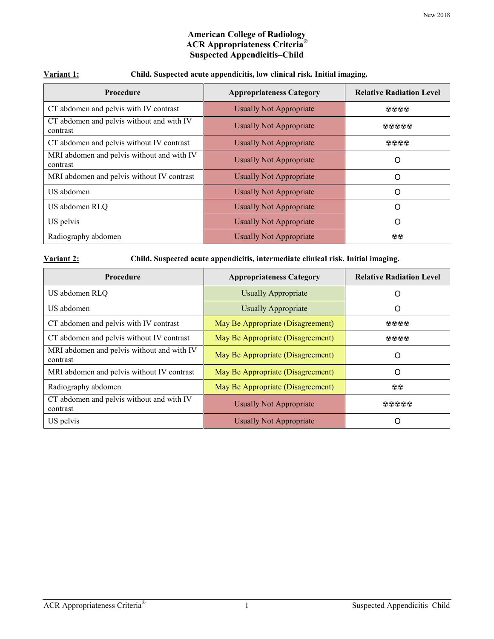## **American College of Radiology ACR Appropriateness Criteria® Suspected Appendicitis–Child**

| Variant 1: | Child. Suspected acute appendicitis, low clinical risk. Initial imaging. |  |
|------------|--------------------------------------------------------------------------|--|
|            |                                                                          |  |

| Procedure                                              | <b>Appropriateness Category</b> | <b>Relative Radiation Level</b> |
|--------------------------------------------------------|---------------------------------|---------------------------------|
| CT abdomen and pelvis with IV contrast                 | <b>Usually Not Appropriate</b>  | 0000                            |
| CT abdomen and pelvis without and with IV<br>contrast  | <b>Usually Not Appropriate</b>  | 00000                           |
| CT abdomen and pelvis without IV contrast              | <b>Usually Not Appropriate</b>  | 0000                            |
| MRI abdomen and pelvis without and with IV<br>contrast | <b>Usually Not Appropriate</b>  | O                               |
| MRI abdomen and pelvis without IV contrast             | <b>Usually Not Appropriate</b>  | O                               |
| US abdomen                                             | <b>Usually Not Appropriate</b>  | O                               |
| US abdomen RLQ                                         | <b>Usually Not Appropriate</b>  | O                               |
| US pelvis                                              | <b>Usually Not Appropriate</b>  | O                               |
| Radiography abdomen                                    | <b>Usually Not Appropriate</b>  | $\circledR$                     |

| Variant 2: |
|------------|
|------------|

**Variant 2: Child. Suspected acute appendicitis, intermediate clinical risk. Initial imaging.**

| Procedure                                              | <b>Appropriateness Category</b>   | <b>Relative Radiation Level</b> |
|--------------------------------------------------------|-----------------------------------|---------------------------------|
| US abdomen RLQ                                         | <b>Usually Appropriate</b>        | $\left( \right)$                |
| US abdomen                                             | <b>Usually Appropriate</b>        | Ő                               |
| CT abdomen and pelvis with IV contrast                 | May Be Appropriate (Disagreement) | 0000                            |
| CT abdomen and pelvis without IV contrast              | May Be Appropriate (Disagreement) | 0000                            |
| MRI abdomen and pelvis without and with IV<br>contrast | May Be Appropriate (Disagreement) | O                               |
| MRI abdomen and pelvis without IV contrast             | May Be Appropriate (Disagreement) | O                               |
| Radiography abdomen                                    | May Be Appropriate (Disagreement) | $\otimes\otimes$                |
| CT abdomen and pelvis without and with IV<br>contrast  | <b>Usually Not Appropriate</b>    | 00000                           |
| US pelvis                                              | <b>Usually Not Appropriate</b>    |                                 |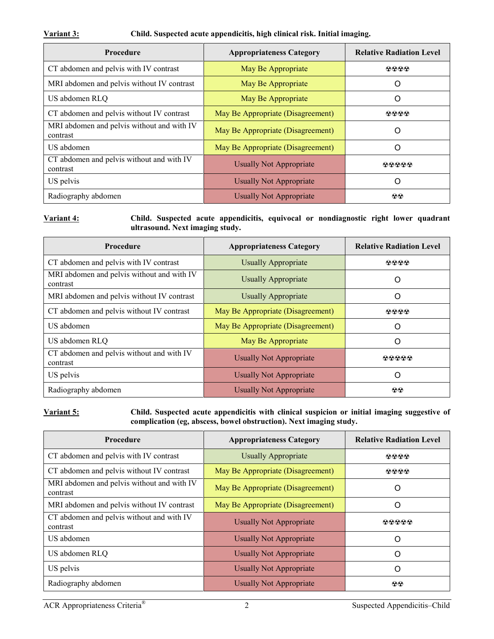#### **Variant 3: Child. Suspected acute appendicitis, high clinical risk. Initial imaging.**

| <b>Procedure</b>                                       | <b>Appropriateness Category</b>   | <b>Relative Radiation Level</b> |
|--------------------------------------------------------|-----------------------------------|---------------------------------|
| CT abdomen and pelvis with IV contrast                 | May Be Appropriate                | 0000                            |
| MRI abdomen and pelvis without IV contrast             | May Be Appropriate                | O                               |
| US abdomen RLQ                                         | May Be Appropriate                | Ő                               |
| CT abdomen and pelvis without IV contrast              | May Be Appropriate (Disagreement) | 0000                            |
| MRI abdomen and pelvis without and with IV<br>contrast | May Be Appropriate (Disagreement) | O                               |
| US abdomen                                             | May Be Appropriate (Disagreement) | O                               |
| CT abdomen and pelvis without and with IV<br>contrast  | Usually Not Appropriate           | <b>®®®®®</b>                    |
| US pelvis                                              | <b>Usually Not Appropriate</b>    | ( )                             |
| Radiography abdomen                                    | <b>Usually Not Appropriate</b>    | $\otimes$                       |

**Variant 4: Child. Suspected acute appendicitis, equivocal or nondiagnostic right lower quadrant ultrasound. Next imaging study.**

| <b>Procedure</b>                                       | <b>Appropriateness Category</b>   | <b>Relative Radiation Level</b> |
|--------------------------------------------------------|-----------------------------------|---------------------------------|
| CT abdomen and pelvis with IV contrast                 | <b>Usually Appropriate</b>        | 0000                            |
| MRI abdomen and pelvis without and with IV<br>contrast | <b>Usually Appropriate</b>        | O                               |
| MRI abdomen and pelvis without IV contrast             | <b>Usually Appropriate</b>        | O                               |
| CT abdomen and pelvis without IV contrast              | May Be Appropriate (Disagreement) | 0000                            |
| US abdomen                                             | May Be Appropriate (Disagreement) | Ω                               |
| US abdomen RLQ                                         | May Be Appropriate                | ∩                               |
| CT abdomen and pelvis without and with IV<br>contrast  | Usually Not Appropriate           | <b>ଊଈଈଈଈ</b>                    |
| US pelvis                                              | <b>Usually Not Appropriate</b>    | Ω                               |
| Radiography abdomen                                    | Usually Not Appropriate           | $\otimes$                       |

**Variant 5: Child. Suspected acute appendicitis with clinical suspicion or initial imaging suggestive of complication (eg, abscess, bowel obstruction). Next imaging study.**

| <b>Procedure</b>                                       | <b>Appropriateness Category</b>   | <b>Relative Radiation Level</b> |
|--------------------------------------------------------|-----------------------------------|---------------------------------|
| CT abdomen and pelvis with IV contrast                 | <b>Usually Appropriate</b>        | 0000                            |
| CT abdomen and pelvis without IV contrast              | May Be Appropriate (Disagreement) | 0000                            |
| MRI abdomen and pelvis without and with IV<br>contrast | May Be Appropriate (Disagreement) | Ő                               |
| MRI abdomen and pelvis without IV contrast             | May Be Appropriate (Disagreement) | O                               |
| CT abdomen and pelvis without and with IV<br>contrast  | <b>Usually Not Appropriate</b>    | 00000                           |
| US abdomen                                             | <b>Usually Not Appropriate</b>    | O                               |
| US abdomen RLQ                                         | Usually Not Appropriate           | $\Omega$                        |
| US pelvis                                              | Usually Not Appropriate           | $\left($ )                      |
| Radiography abdomen                                    | <b>Usually Not Appropriate</b>    | $\otimes$                       |

ACR Appropriateness Criteria® 2 Suspected Appendicitis–Child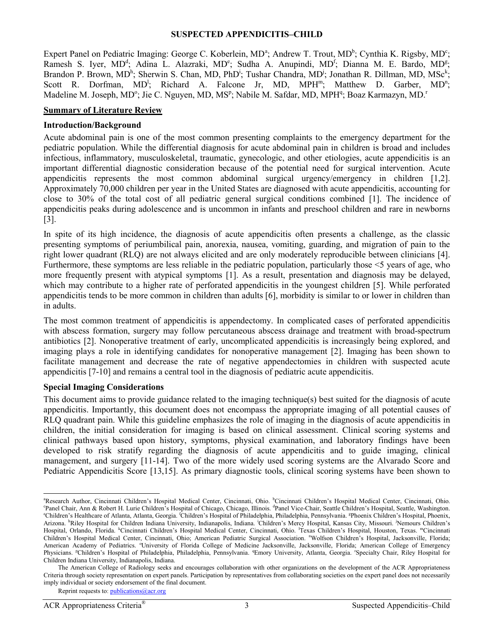#### **SUSPECTED APPENDICITIS–CHILD**

Expert P[a](#page-2-0)nel on Pediatric Imaging: George C. Koberlein, MD<sup>a</sup>; Andrew T. Trout, MD<sup>b</sup>; Cynthia K. Rigsby, MD<sup>c</sup>; Ramesh S. Iyer, MD<sup>d</sup>; Adina L. Alazraki, MD<sup>e</sup>; Sudha A. Anupindi, MD<sup>f</sup>; Dianna M. E. Bardo, MD<sup>g</sup>; Brandon P. Brown, MD<sup>h</sup>; Sherwin S. Chan, MD, PhD<sup>i</sup>; Tushar Chandra, MD<sup>j</sup>; Jonathan R. Dillman, MD, MSc<sup>k</sup>; Scott R. Dorfman,  $MD^l$ ; Richard A. Falcone Jr, MD,  $MPH^m$ ; Matthew D. Garber,  $MD^n$ ; Madeline M. Joseph, MD°; Jie C. Nguyen, MD, MS<sup>p</sup>; Nabile M. Safdar, MD, MPH<sup>q</sup>; Boaz Karmazyn, MD.<sup>r</sup>

#### **Summary of Literature Review**

#### **Introduction/Background**

Acute abdominal pain is one of the most common presenting complaints to the emergency department for the pediatric population. While the differential diagnosis for acute abdominal pain in children is broad and includes infectious, inflammatory, musculoskeletal, traumatic, gynecologic, and other etiologies, acute appendicitis is an important differential diagnostic consideration because of the potential need for surgical intervention. Acute appendicitis represents the most common abdominal surgical urgency/emergency in children [\[1,](#page-10-0)[2\]](#page-10-1). Approximately 70,000 children per year in the United States are diagnosed with acute appendicitis, accounting for close to 30% of the total cost of all pediatric general surgical conditions combined [\[1\]](#page-10-0). The incidence of appendicitis peaks during adolescence and is uncommon in infants and preschool children and rare in newborns [\[3\]](#page-10-2).

In spite of its high incidence, the diagnosis of acute appendicitis often presents a challenge, as the classic presenting symptoms of periumbilical pain, anorexia, nausea, vomiting, guarding, and migration of pain to the right lower quadrant (RLQ) are not always elicited and are only moderately reproducible between clinicians [\[4\]](#page-10-3). Furthermore, these symptoms are less reliable in the pediatric population, particularly those <5 years of age, who more frequently present with atypical symptoms [\[1\]](#page-10-0). As a result, presentation and diagnosis may be delayed, which may contribute to a higher rate of perforated appendicitis in the youngest children [\[5\]](#page-10-4). While perforated appendicitis tends to be more common in children than adults [\[6\]](#page-10-5), morbidity is similar to or lower in children than in adults.

The most common treatment of appendicitis is appendectomy. In complicated cases of perforated appendicitis with abscess formation, surgery may follow percutaneous abscess drainage and treatment with broad-spectrum antibiotics [\[2\]](#page-10-1). Nonoperative treatment of early, uncomplicated appendicitis is increasingly being explored, and imaging plays a role in identifying candidates for nonoperative management [\[2\]](#page-10-1). Imaging has been shown to facilitate management and decrease the rate of negative appendectomies in children with suspected acute appendicitis [\[7-10\]](#page-10-6) and remains a central tool in the diagnosis of pediatric acute appendicitis.

#### **Special Imaging Considerations**

This document aims to provide guidance related to the imaging technique(s) best suited for the diagnosis of acute appendicitis. Importantly, this document does not encompass the appropriate imaging of all potential causes of RLQ quadrant pain. While this guideline emphasizes the role of imaging in the diagnosis of acute appendicitis in children, the initial consideration for imaging is based on clinical assessment. Clinical scoring systems and clinical pathways based upon history, symptoms, physical examination, and laboratory findings have been developed to risk stratify regarding the diagnosis of acute appendicitis and to guide imaging, clinical management, and surgery [\[11-14\]](#page-10-7). Two of the more widely used scoring systems are the Alvarado Score and Pediatric Appendicitis Score [\[13](#page-10-8)[,15\]](#page-10-9). As primary diagnostic tools, clinical scoring systems have been shown to

<span id="page-2-0"></span>a <sup>a</sup>Research Author, Cincinnati Children's Hospital Medical Center, Cincinnati, Ohio. <sup>b</sup>Cincinnati Children's Hospital Medical Center, Cincinnati, Ohio.<br><sup>C</sup>ennel Chair, Ann & Robert H. Lurie Children's Hospital of Chicago, Panel Chair, Ann & Robert H. Lurie Children's Hospital of Chicago, Chicago, Illinois. <sup>4</sup>Panel Vice-Chair, Seattle Children's Hospital, Seattle, Washington.<br>"Children's Hospital Phoenix. Atlanta, Georgia (Children's Hospit Children's Healthcare of Atlanta, Atlanta, Georgia. <sup>f</sup>Children's Hospital of Philadelphia, Philadelphia, Pennsylvania. <sup>g</sup>Phoenix Children's Hospital, Phoenix, Arizona. <sup>h</sup>Riley Hospital for Children Indiana University, Indianapolis, Indiana. <sup>i</sup>Children's Mercy Hospital, Kansas City, Missouri. <sup>j</sup>Nemours Children's Hospital, Orlando, Florida. <sup>k</sup>Cincinnati Children's Hospital Medical Center, Cincinnati, Ohio. <sup>1</sup>Texas Children's Hospital, Houston, Texas. <sup>m</sup>Cincinnati Children's Hospital Medical Center, Cincinnati, Ohio; American Pediatric Surgical Association. "Wolfson Children's Hospital, Jacksonville, Florida; American Academy of Pediatrics. University of Florida College of Medicine Jacksonville, Jacksonville, Florida; American College of Emergency Physicians. <sup>p</sup>Children's Hospital of Philadelphia, Philadelphia, Pennsylvania. <sup>q</sup>Emory University, Atlanta, Georgia. <sup>r</sup>Specialty Chair, Riley Hospital for Children Indiana University, Indianapolis, Indiana.

The American College of Radiology seeks and encourages collaboration with other organizations on the development of the ACR Appropriateness Criteria through society representation on expert panels. Participation by representatives from collaborating societies on the expert panel does not necessarily imply individual or society endorsement of the final document.

Reprint requests to[: publications@acr.org](mailto:publications@acr.org)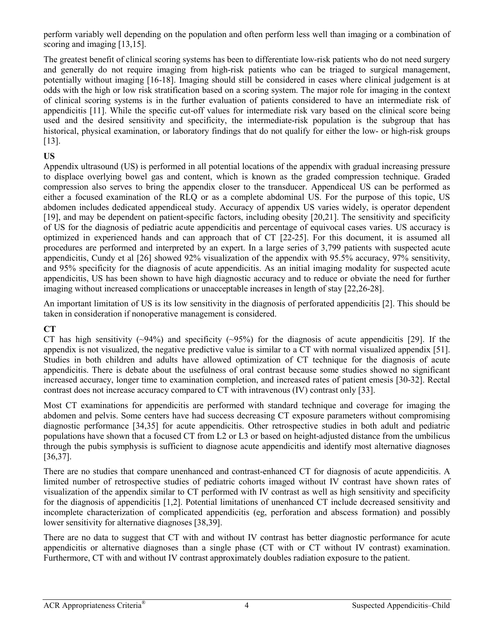perform variably well depending on the population and often perform less well than imaging or a combination of scoring and imaging [\[13](#page-10-8)[,15\]](#page-10-9).

The greatest benefit of clinical scoring systems has been to differentiate low-risk patients who do not need surgery and generally do not require imaging from high-risk patients who can be triaged to surgical management, potentially without imaging [\[16-18\]](#page-10-10). Imaging should still be considered in cases where clinical judgement is at odds with the high or low risk stratification based on a scoring system. The major role for imaging in the context of clinical scoring systems is in the further evaluation of patients considered to have an intermediate risk of appendicitis [\[11\]](#page-10-7). While the specific cut-off values for intermediate risk vary based on the clinical score being used and the desired sensitivity and specificity, the intermediate-risk population is the subgroup that has historical, physical examination, or laboratory findings that do not qualify for either the low- or high-risk groups [\[13\]](#page-10-8).

# **US**

Appendix ultrasound (US) is performed in all potential locations of the appendix with gradual increasing pressure to displace overlying bowel gas and content, which is known as the graded compression technique. Graded compression also serves to bring the appendix closer to the transducer. Appendiceal US can be performed as either a focused examination of the RLQ or as a complete abdominal US. For the purpose of this topic, US abdomen includes dedicated appendiceal study. Accuracy of appendix US varies widely, is operator dependent [\[19\]](#page-11-0), and may be dependent on patient-specific factors, including obesity [\[20](#page-11-1)[,21\]](#page-11-2). The sensitivity and specificity of US for the diagnosis of pediatric acute appendicitis and percentage of equivocal cases varies. US accuracy is optimized in experienced hands and can approach that of CT [\[22-25\]](#page-11-3). For this document, it is assumed all procedures are performed and interpreted by an expert. In a large series of 3,799 patients with suspected acute appendicitis, Cundy et al [\[26\]](#page-11-4) showed 92% visualization of the appendix with 95.5% accuracy, 97% sensitivity, and 95% specificity for the diagnosis of acute appendicitis. As an initial imaging modality for suspected acute appendicitis, US has been shown to have high diagnostic accuracy and to reduce or obviate the need for further imaging without increased complications or unacceptable increases in length of stay [\[22,](#page-11-3)[26-28\]](#page-11-4).

An important limitation of US is its low sensitivity in the diagnosis of perforated appendicitis [\[2\]](#page-10-1). This should be taken in consideration if nonoperative management is considered.

# **CT**

CT has high sensitivity ( $\sim$ 94%) and specificity ( $\sim$ 95%) for the diagnosis of acute appendicitis [\[29\]](#page-11-5). If the appendix is not visualized, the negative predictive value is similar to a CT with normal visualized appendix [51]. Studies in both children and adults have allowed optimization of CT technique for the diagnosis of acute appendicitis. There is debate about the usefulness of oral contrast because some studies showed no significant increased accuracy, longer time to examination completion, and increased rates of patient emesis [\[30-32\]](#page-11-6). Rectal contrast does not increase accuracy compared to CT with intravenous (IV) contrast only [\[33\]](#page-11-7).

Most CT examinations for appendicitis are performed with standard technique and coverage for imaging the abdomen and pelvis. Some centers have had success decreasing CT exposure parameters without compromising diagnostic performance [\[34,](#page-11-8)[35\]](#page-11-9) for acute appendicitis. Other retrospective studies in both adult and pediatric populations have shown that a focused CT from L2 or L3 or based on height-adjusted distance from the umbilicus through the pubis symphysis is sufficient to diagnose acute appendicitis and identify most alternative diagnoses [\[36](#page-11-10)[,37\]](#page-11-11).

There are no studies that compare unenhanced and contrast-enhanced CT for diagnosis of acute appendicitis. A limited number of retrospective studies of pediatric cohorts imaged without IV contrast have shown rates of visualization of the appendix similar to CT performed with IV contrast as well as high sensitivity and specificity for the diagnosis of appendicitis [\[1](#page-10-0)[,2\]](#page-10-1). Potential limitations of unenhanced CT include decreased sensitivity and incomplete characterization of complicated appendicitis (eg, perforation and abscess formation) and possibly lower sensitivity for alternative diagnoses [\[38,](#page-11-12)[39\]](#page-11-13).

There are no data to suggest that CT with and without IV contrast has better diagnostic performance for acute appendicitis or alternative diagnoses than a single phase (CT with or CT without IV contrast) examination. Furthermore, CT with and without IV contrast approximately doubles radiation exposure to the patient.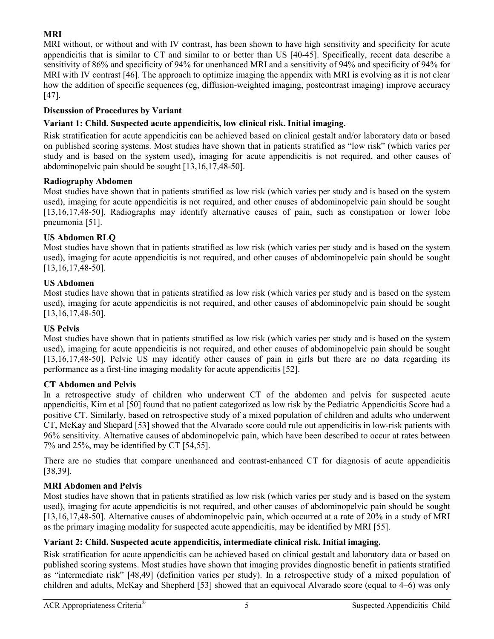# **MRI**

MRI without, or without and with IV contrast, has been shown to have high sensitivity and specificity for acute appendicitis that is similar to CT and similar to or better than US [\[40-45\]](#page-11-14). Specifically, recent data describe a sensitivity of 86% and specificity of 94% for unenhanced MRI and a sensitivity of 94% and specificity of 94% for MRI with IV contrast [\[46\]](#page-12-0). The approach to optimize imaging the appendix with MRI is evolving as it is not clear how the addition of specific sequences (eg, diffusion-weighted imaging, postcontrast imaging) improve accuracy [\[47\]](#page-12-1).

# **Discussion of Procedures by Variant**

# **Variant 1: Child. Suspected acute appendicitis, low clinical risk. Initial imaging.**

Risk stratification for acute appendicitis can be achieved based on clinical gestalt and/or laboratory data or based on published scoring systems. Most studies have shown that in patients stratified as "low risk" (which varies per study and is based on the system used), imaging for acute appendicitis is not required, and other causes of abdominopelvic pain should be sought [\[13,](#page-10-8)[16](#page-10-10)[,17](#page-11-15)[,48-50\]](#page-12-2).

## **Radiography Abdomen**

Most studies have shown that in patients stratified as low risk (which varies per study and is based on the system used), imaging for acute appendicitis is not required, and other causes of abdominopelvic pain should be sought [\[13](#page-10-8)[,16,](#page-10-10)[17](#page-11-15)[,48-50\]](#page-12-2). Radiographs may identify alternative causes of pain, such as constipation or lower lobe pneumonia [\[51\]](#page-12-3).

# **US Abdomen RLQ**

Most studies have shown that in patients stratified as low risk (which varies per study and is based on the system used), imaging for acute appendicitis is not required, and other causes of abdominopelvic pain should be sought [\[13](#page-10-8)[,16,](#page-10-10)[17](#page-11-15)[,48-50\]](#page-12-2).

## **US Abdomen**

Most studies have shown that in patients stratified as low risk (which varies per study and is based on the system used), imaging for acute appendicitis is not required, and other causes of abdominopelvic pain should be sought [\[13](#page-10-8)[,16,](#page-10-10)[17](#page-11-15)[,48-50\]](#page-12-2).

## **US Pelvis**

Most studies have shown that in patients stratified as low risk (which varies per study and is based on the system used), imaging for acute appendicitis is not required, and other causes of abdominopelvic pain should be sought [\[13](#page-10-8)[,16,](#page-10-10)[17](#page-11-15)[,48-50\]](#page-12-2). Pelvic US may identify other causes of pain in girls but there are no data regarding its performance as a first-line imaging modality for acute appendicitis [\[52\]](#page-12-4).

## **CT Abdomen and Pelvis**

In a retrospective study of children who underwent CT of the abdomen and pelvis for suspected acute appendicitis, Kim et al [\[50\]](#page-12-5) found that no patient categorized as low risk by the Pediatric Appendicitis Score had a positive CT. Similarly, based on retrospective study of a mixed population of children and adults who underwent CT, McKay and Shepard [\[53\]](#page-12-6) showed that the Alvarado score could rule out appendicitis in low-risk patients with 96% sensitivity. Alternative causes of abdominopelvic pain, which have been described to occur at rates between 7% and 25%, may be identified by CT [\[54](#page-12-7)[,55\]](#page-12-8).

There are no studies that compare unenhanced and contrast-enhanced CT for diagnosis of acute appendicitis [\[38](#page-11-12)[,39\]](#page-11-13).

# **MRI Abdomen and Pelvis**

Most studies have shown that in patients stratified as low risk (which varies per study and is based on the system used), imaging for acute appendicitis is not required, and other causes of abdominopelvic pain should be sought [\[13](#page-10-8)[,16,](#page-10-10)[17](#page-11-15)[,48-50\]](#page-12-2). Alternative causes of abdominopelvic pain, which occurred at a rate of 20% in a study of MRI as the primary imaging modality for suspected acute appendicitis, may be identified by MRI [\[55\]](#page-12-8).

# **Variant 2: Child. Suspected acute appendicitis, intermediate clinical risk. Initial imaging.**

Risk stratification for acute appendicitis can be achieved based on clinical gestalt and laboratory data or based on published scoring systems. Most studies have shown that imaging provides diagnostic benefit in patients stratified as "intermediate risk" [\[48](#page-12-2)[,49\]](#page-12-9) (definition varies per study). In a retrospective study of a mixed population of children and adults, McKay and Shepherd [\[53\]](#page-12-6) showed that an equivocal Alvarado score (equal to 4–6) was only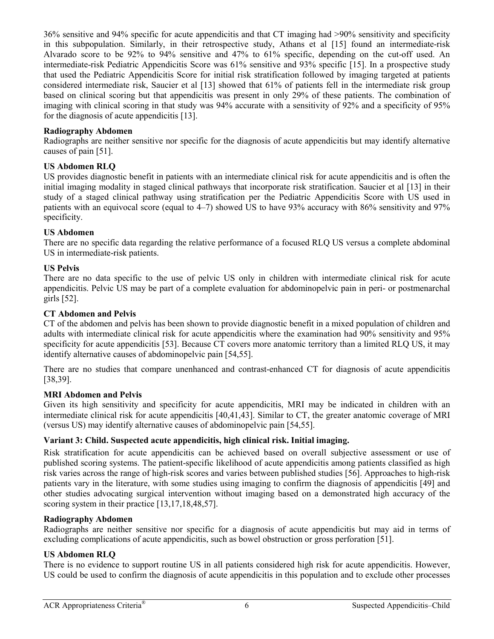36% sensitive and 94% specific for acute appendicitis and that CT imaging had >90% sensitivity and specificity in this subpopulation. Similarly, in their retrospective study, Athans et al [\[15\]](#page-10-9) found an intermediate-risk Alvarado score to be 92% to 94% sensitive and 47% to 61% specific, depending on the cut-off used. An intermediate-risk Pediatric Appendicitis Score was 61% sensitive and 93% specific [\[15\]](#page-10-9). In a prospective study that used the Pediatric Appendicitis Score for initial risk stratification followed by imaging targeted at patients considered intermediate risk, Saucier et al [\[13\]](#page-10-8) showed that 61% of patients fell in the intermediate risk group based on clinical scoring but that appendicitis was present in only 29% of these patients. The combination of imaging with clinical scoring in that study was 94% accurate with a sensitivity of 92% and a specificity of 95% for the diagnosis of acute appendicitis [\[13\]](#page-10-8).

#### **Radiography Abdomen**

Radiographs are neither sensitive nor specific for the diagnosis of acute appendicitis but may identify alternative causes of pain [\[51\]](#page-12-3).

#### **US Abdomen RLQ**

US provides diagnostic benefit in patients with an intermediate clinical risk for acute appendicitis and is often the initial imaging modality in staged clinical pathways that incorporate risk stratification. Saucier et al [\[13\]](#page-10-8) in their study of a staged clinical pathway using stratification per the Pediatric Appendicitis Score with US used in patients with an equivocal score (equal to 4–7) showed US to have 93% accuracy with 86% sensitivity and 97% specificity.

#### **US Abdomen**

There are no specific data regarding the relative performance of a focused RLQ US versus a complete abdominal US in intermediate-risk patients.

#### **US Pelvis**

There are no data specific to the use of pelvic US only in children with intermediate clinical risk for acute appendicitis. Pelvic US may be part of a complete evaluation for abdominopelvic pain in peri- or postmenarchal girls [\[52\]](#page-12-4).

#### **CT Abdomen and Pelvis**

CT of the abdomen and pelvis has been shown to provide diagnostic benefit in a mixed population of children and adults with intermediate clinical risk for acute appendicitis where the examination had 90% sensitivity and 95% specificity for acute appendicitis [\[53\]](#page-12-6). Because CT covers more anatomic territory than a limited RLQ US, it may identify alternative causes of abdominopelvic pain [\[54,](#page-12-7)[55\]](#page-12-8).

There are no studies that compare unenhanced and contrast-enhanced CT for diagnosis of acute appendicitis [\[38](#page-11-12)[,39\]](#page-11-13).

#### **MRI Abdomen and Pelvis**

Given its high sensitivity and specificity for acute appendicitis, MRI may be indicated in children with an intermediate clinical risk for acute appendicitis [\[40](#page-11-14)[,41](#page-12-10)[,43\]](#page-12-11). Similar to CT, the greater anatomic coverage of MRI (versus US) may identify alternative causes of abdominopelvic pain [\[54](#page-12-7)[,55\]](#page-12-8).

#### **Variant 3: Child. Suspected acute appendicitis, high clinical risk. Initial imaging.**

Risk stratification for acute appendicitis can be achieved based on overall subjective assessment or use of published scoring systems. The patient-specific likelihood of acute appendicitis among patients classified as high risk varies across the range of high-risk scores and varies between published studies [\[56\]](#page-12-12). Approaches to high-risk patients vary in the literature, with some studies using imaging to confirm the diagnosis of appendicitis [\[49\]](#page-12-9) and other studies advocating surgical intervention without imaging based on a demonstrated high accuracy of the scoring system in their practice [\[13](#page-10-8)[,17](#page-11-15)[,18,](#page-11-16)[48](#page-12-2)[,57\]](#page-12-13).

## **Radiography Abdomen**

Radiographs are neither sensitive nor specific for a diagnosis of acute appendicitis but may aid in terms of excluding complications of acute appendicitis, such as bowel obstruction or gross perforation [\[51\]](#page-12-3).

## **US Abdomen RLQ**

There is no evidence to support routine US in all patients considered high risk for acute appendicitis. However, US could be used to confirm the diagnosis of acute appendicitis in this population and to exclude other processes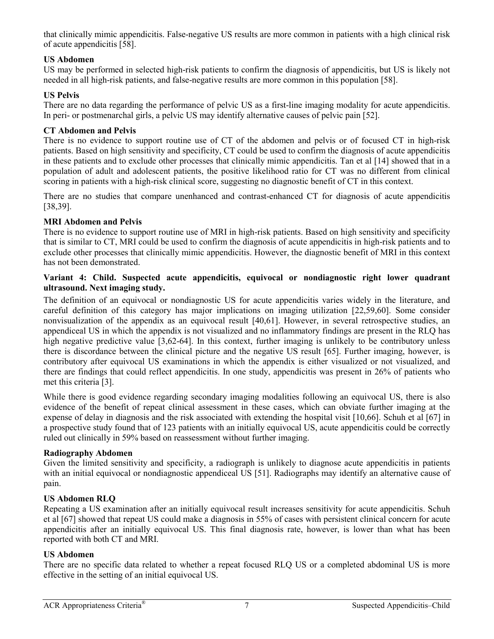that clinically mimic appendicitis. False-negative US results are more common in patients with a high clinical risk of acute appendicitis [\[58\]](#page-12-14).

# **US Abdomen**

US may be performed in selected high-risk patients to confirm the diagnosis of appendicitis, but US is likely not needed in all high-risk patients, and false-negative results are more common in this population [\[58\]](#page-12-14).

# **US Pelvis**

There are no data regarding the performance of pelvic US as a first-line imaging modality for acute appendicitis. In peri- or postmenarchal girls, a pelvic US may identify alternative causes of pelvic pain [\[52\]](#page-12-4).

## **CT Abdomen and Pelvis**

There is no evidence to support routine use of CT of the abdomen and pelvis or of focused CT in high-risk patients. Based on high sensitivity and specificity, CT could be used to confirm the diagnosis of acute appendicitis in these patients and to exclude other processes that clinically mimic appendicitis. Tan et al [\[14\]](#page-10-11) showed that in a population of adult and adolescent patients, the positive likelihood ratio for CT was no different from clinical scoring in patients with a high-risk clinical score, suggesting no diagnostic benefit of CT in this context.

There are no studies that compare unenhanced and contrast-enhanced CT for diagnosis of acute appendicitis [\[38](#page-11-12)[,39\]](#page-11-13).

# **MRI Abdomen and Pelvis**

There is no evidence to support routine use of MRI in high-risk patients. Based on high sensitivity and specificity that is similar to CT, MRI could be used to confirm the diagnosis of acute appendicitis in high-risk patients and to exclude other processes that clinically mimic appendicitis. However, the diagnostic benefit of MRI in this context has not been demonstrated.

#### **Variant 4: Child. Suspected acute appendicitis, equivocal or nondiagnostic right lower quadrant ultrasound. Next imaging study.**

The definition of an equivocal or nondiagnostic US for acute appendicitis varies widely in the literature, and careful definition of this category has major implications on imaging utilization [\[22](#page-11-3)[,59](#page-12-15)[,60\]](#page-12-16). Some consider nonvisualization of the appendix as an equivocal result [\[40,](#page-11-14)[61\]](#page-12-17). However, in several retrospective studies, an appendiceal US in which the appendix is not visualized and no inflammatory findings are present in the RLQ has high negative predictive value [\[3](#page-10-2)[,62-64\]](#page-12-18). In this context, further imaging is unlikely to be contributory unless there is discordance between the clinical picture and the negative US result [\[65\]](#page-13-0). Further imaging, however, is contributory after equivocal US examinations in which the appendix is either visualized or not visualized, and there are findings that could reflect appendicitis. In one study, appendicitis was present in 26% of patients who met this criteria [\[3\]](#page-10-2).

While there is good evidence regarding secondary imaging modalities following an equivocal US, there is also evidence of the benefit of repeat clinical assessment in these cases, which can obviate further imaging at the expense of delay in diagnosis and the risk associated with extending the hospital visit [\[10](#page-10-12)[,66\]](#page-13-1). Schuh et al [\[67\]](#page-13-2) in a prospective study found that of 123 patients with an initially equivocal US, acute appendicitis could be correctly ruled out clinically in 59% based on reassessment without further imaging.

## **Radiography Abdomen**

Given the limited sensitivity and specificity, a radiograph is unlikely to diagnose acute appendicitis in patients with an initial equivocal or nondiagnostic appendiceal US [\[51\]](#page-12-3). Radiographs may identify an alternative cause of pain.

## **US Abdomen RLQ**

Repeating a US examination after an initially equivocal result increases sensitivity for acute appendicitis. Schuh et al [\[67\]](#page-13-2) showed that repeat US could make a diagnosis in 55% of cases with persistent clinical concern for acute appendicitis after an initially equivocal US. This final diagnosis rate, however, is lower than what has been reported with both CT and MRI.

## **US Abdomen**

There are no specific data related to whether a repeat focused RLQ US or a completed abdominal US is more effective in the setting of an initial equivocal US.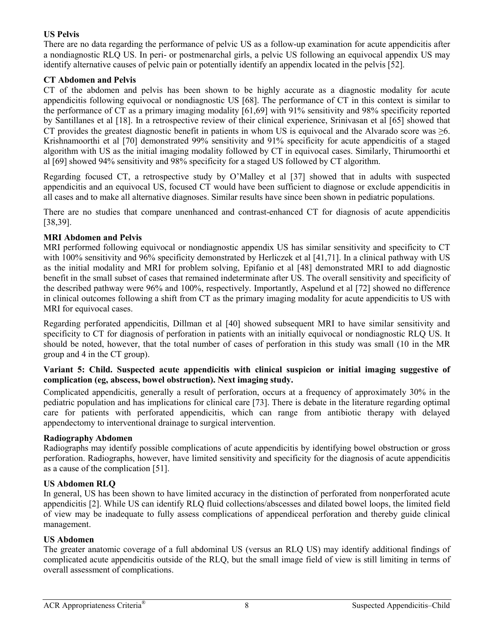## **US Pelvis**

There are no data regarding the performance of pelvic US as a follow-up examination for acute appendicitis after a nondiagnostic RLQ US. In peri- or postmenarchal girls, a pelvic US following an equivocal appendix US may identify alternative causes of pelvic pain or potentially identify an appendix located in the pelvis [\[52\]](#page-12-4).

# **CT Abdomen and Pelvis**

CT of the abdomen and pelvis has been shown to be highly accurate as a diagnostic modality for acute appendicitis following equivocal or nondiagnostic US [\[68\]](#page-13-3). The performance of CT in this context is similar to the performance of CT as a primary imaging modality [\[61,](#page-12-17)[69\]](#page-13-4) with 91% sensitivity and 98% specificity reported by Santillanes et al [\[18\]](#page-11-16). In a retrospective review of their clinical experience, Srinivasan et al [\[65\]](#page-13-0) showed that CT provides the greatest diagnostic benefit in patients in whom US is equivocal and the Alvarado score was  $\geq 6$ . Krishnamoorthi et al [\[70\]](#page-13-5) demonstrated 99% sensitivity and 91% specificity for acute appendicitis of a staged algorithm with US as the initial imaging modality followed by CT in equivocal cases. Similarly, Thirumoorthi et al [\[69\]](#page-13-4) showed 94% sensitivity and 98% specificity for a staged US followed by CT algorithm.

Regarding focused CT, a retrospective study by O'Malley et al [\[37\]](#page-11-11) showed that in adults with suspected appendicitis and an equivocal US, focused CT would have been sufficient to diagnose or exclude appendicitis in all cases and to make all alternative diagnoses. Similar results have since been shown in pediatric populations.

There are no studies that compare unenhanced and contrast-enhanced CT for diagnosis of acute appendicitis [\[38](#page-11-12)[,39\]](#page-11-13).

## **MRI Abdomen and Pelvis**

MRI performed following equivocal or nondiagnostic appendix US has similar sensitivity and specificity to CT with 100% sensitivity and 96% specificity demonstrated by Herliczek et al [\[41](#page-12-10)[,71\]](#page-13-6). In a clinical pathway with US as the initial modality and MRI for problem solving, Epifanio et al [\[48\]](#page-12-2) demonstrated MRI to add diagnostic benefit in the small subset of cases that remained indeterminate after US. The overall sensitivity and specificity of the described pathway were 96% and 100%, respectively. Importantly, Aspelund et al [\[72\]](#page-13-7) showed no difference in clinical outcomes following a shift from CT as the primary imaging modality for acute appendicitis to US with MRI for equivocal cases.

Regarding perforated appendicitis, Dillman et al [\[40\]](#page-11-14) showed subsequent MRI to have similar sensitivity and specificity to CT for diagnosis of perforation in patients with an initially equivocal or nondiagnostic RLO US. It should be noted, however, that the total number of cases of perforation in this study was small (10 in the MR group and 4 in the CT group).

#### **Variant 5: Child. Suspected acute appendicitis with clinical suspicion or initial imaging suggestive of complication (eg, abscess, bowel obstruction). Next imaging study.**

Complicated appendicitis, generally a result of perforation, occurs at a frequency of approximately 30% in the pediatric population and has implications for clinical care [\[73\]](#page-13-8). There is debate in the literature regarding optimal care for patients with perforated appendicitis, which can range from antibiotic therapy with delayed appendectomy to interventional drainage to surgical intervention.

## **Radiography Abdomen**

Radiographs may identify possible complications of acute appendicitis by identifying bowel obstruction or gross perforation. Radiographs, however, have limited sensitivity and specificity for the diagnosis of acute appendicitis as a cause of the complication [\[51\]](#page-12-3).

## **US Abdomen RLQ**

In general, US has been shown to have limited accuracy in the distinction of perforated from nonperforated acute appendicitis [\[2\]](#page-10-1). While US can identify RLQ fluid collections/abscesses and dilated bowel loops, the limited field of view may be inadequate to fully assess complications of appendiceal perforation and thereby guide clinical management.

#### **US Abdomen**

The greater anatomic coverage of a full abdominal US (versus an RLQ US) may identify additional findings of complicated acute appendicitis outside of the RLQ, but the small image field of view is still limiting in terms of overall assessment of complications.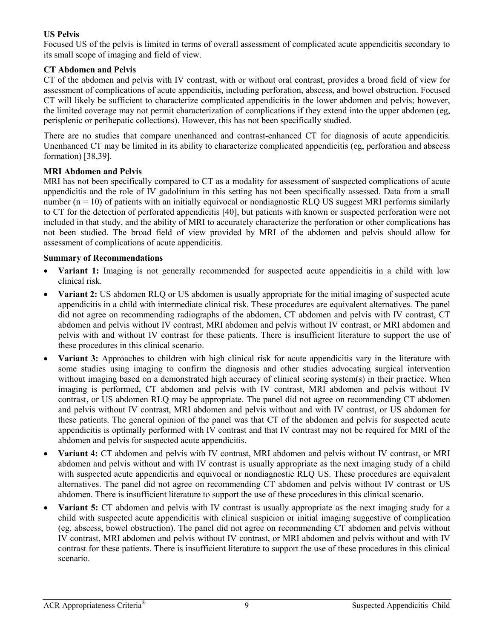# **US Pelvis**

Focused US of the pelvis is limited in terms of overall assessment of complicated acute appendicitis secondary to its small scope of imaging and field of view.

# **CT Abdomen and Pelvis**

CT of the abdomen and pelvis with IV contrast, with or without oral contrast, provides a broad field of view for assessment of complications of acute appendicitis, including perforation, abscess, and bowel obstruction. Focused CT will likely be sufficient to characterize complicated appendicitis in the lower abdomen and pelvis; however, the limited coverage may not permit characterization of complications if they extend into the upper abdomen (eg, perisplenic or perihepatic collections). However, this has not been specifically studied.

There are no studies that compare unenhanced and contrast-enhanced CT for diagnosis of acute appendicitis. Unenhanced CT may be limited in its ability to characterize complicated appendicitis (eg, perforation and abscess formation) [\[38,](#page-11-12)[39\]](#page-11-13).

## **MRI Abdomen and Pelvis**

MRI has not been specifically compared to CT as a modality for assessment of suspected complications of acute appendicitis and the role of IV gadolinium in this setting has not been specifically assessed. Data from a small number  $(n = 10)$  of patients with an initially equivocal or nondiagnostic RLQ US suggest MRI performs similarly to CT for the detection of perforated appendicitis [\[40\]](#page-11-14), but patients with known or suspected perforation were not included in that study, and the ability of MRI to accurately characterize the perforation or other complications has not been studied. The broad field of view provided by MRI of the abdomen and pelvis should allow for assessment of complications of acute appendicitis.

# **Summary of Recommendations**

- **Variant 1:** Imaging is not generally recommended for suspected acute appendicitis in a child with low clinical risk.
- **Variant 2:** US abdomen RLQ or US abdomen is usually appropriate for the initial imaging of suspected acute appendicitis in a child with intermediate clinical risk. These procedures are equivalent alternatives. The panel did not agree on recommending radiographs of the abdomen, CT abdomen and pelvis with IV contrast, CT abdomen and pelvis without IV contrast, MRI abdomen and pelvis without IV contrast, or MRI abdomen and pelvis with and without IV contrast for these patients. There is insufficient literature to support the use of these procedures in this clinical scenario.
- **Variant 3:** Approaches to children with high clinical risk for acute appendicitis vary in the literature with some studies using imaging to confirm the diagnosis and other studies advocating surgical intervention without imaging based on a demonstrated high accuracy of clinical scoring system(s) in their practice. When imaging is performed, CT abdomen and pelvis with IV contrast, MRI abdomen and pelvis without IV contrast, or US abdomen RLQ may be appropriate. The panel did not agree on recommending CT abdomen and pelvis without IV contrast, MRI abdomen and pelvis without and with IV contrast, or US abdomen for these patients. The general opinion of the panel was that CT of the abdomen and pelvis for suspected acute appendicitis is optimally performed with IV contrast and that IV contrast may not be required for MRI of the abdomen and pelvis for suspected acute appendicitis.
- **Variant 4:** CT abdomen and pelvis with IV contrast, MRI abdomen and pelvis without IV contrast, or MRI abdomen and pelvis without and with IV contrast is usually appropriate as the next imaging study of a child with suspected acute appendicitis and equivocal or nondiagnostic RLQ US. These procedures are equivalent alternatives. The panel did not agree on recommending CT abdomen and pelvis without IV contrast or US abdomen. There is insufficient literature to support the use of these procedures in this clinical scenario.
- **Variant 5:** CT abdomen and pelvis with IV contrast is usually appropriate as the next imaging study for a child with suspected acute appendicitis with clinical suspicion or initial imaging suggestive of complication (eg, abscess, bowel obstruction). The panel did not agree on recommending CT abdomen and pelvis without IV contrast, MRI abdomen and pelvis without IV contrast, or MRI abdomen and pelvis without and with IV contrast for these patients. There is insufficient literature to support the use of these procedures in this clinical scenario.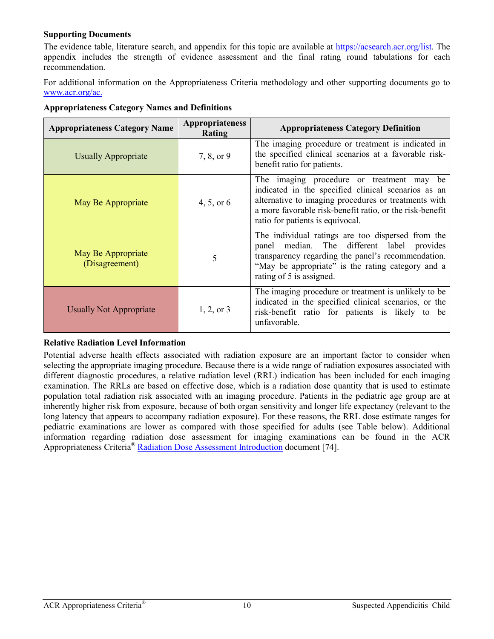## **Supporting Documents**

The evidence table, literature search, and appendix for this topic are available at [https://acsearch.acr.org/list.](https://acsearch.acr.org/list) The appendix includes the strength of evidence assessment and the final rating round tabulations for each recommendation.

For additional information on the Appropriateness Criteria methodology and other supporting documents go to [www.acr.org/ac.](https://www.acr.org/Clinical-Resources/ACR-Appropriateness-Criteria)

| <b>Appropriateness Category Name</b> | <b>Appropriateness</b><br>Rating | <b>Appropriateness Category Definition</b>                                                                                                                                                                                                               |
|--------------------------------------|----------------------------------|----------------------------------------------------------------------------------------------------------------------------------------------------------------------------------------------------------------------------------------------------------|
| <b>Usually Appropriate</b>           | 7, 8, or 9                       | The imaging procedure or treatment is indicated in<br>the specified clinical scenarios at a favorable risk-<br>benefit ratio for patients.                                                                                                               |
| May Be Appropriate                   | 4, 5, or $6$                     | The imaging procedure or treatment may be<br>indicated in the specified clinical scenarios as an<br>alternative to imaging procedures or treatments with<br>a more favorable risk-benefit ratio, or the risk-benefit<br>ratio for patients is equivocal. |
| May Be Appropriate<br>(Disagreement) | 5                                | The individual ratings are too dispersed from the<br>panel median. The different label provides<br>transparency regarding the panel's recommendation.<br>"May be appropriate" is the rating category and a<br>rating of 5 is assigned.                   |
| <b>Usually Not Appropriate</b>       | $1, 2,$ or 3                     | The imaging procedure or treatment is unlikely to be.<br>indicated in the specified clinical scenarios, or the<br>risk-benefit ratio for patients is likely to be<br>unfavorable.                                                                        |

**Appropriateness Category Names and Definitions** 

## **Relative Radiation Level Information**

Potential adverse health effects associated with radiation exposure are an important factor to consider when selecting the appropriate imaging procedure. Because there is a wide range of radiation exposures associated with different diagnostic procedures, a relative radiation level (RRL) indication has been included for each imaging examination. The RRLs are based on effective dose, which is a radiation dose quantity that is used to estimate population total radiation risk associated with an imaging procedure. Patients in the pediatric age group are at inherently higher risk from exposure, because of both organ sensitivity and longer life expectancy (relevant to the long latency that appears to accompany radiation exposure). For these reasons, the RRL dose estimate ranges for pediatric examinations are lower as compared with those specified for adults (see Table below). Additional information regarding radiation dose assessment for imaging examinations can be found in the ACR Appropriateness Criteria® [Radiation Dose Assessment Introduction](https://www.acr.org/-/media/ACR/Files/Appropriateness-Criteria/RadiationDoseAssessmentIntro.pdf) document [\[74\]](#page-13-9).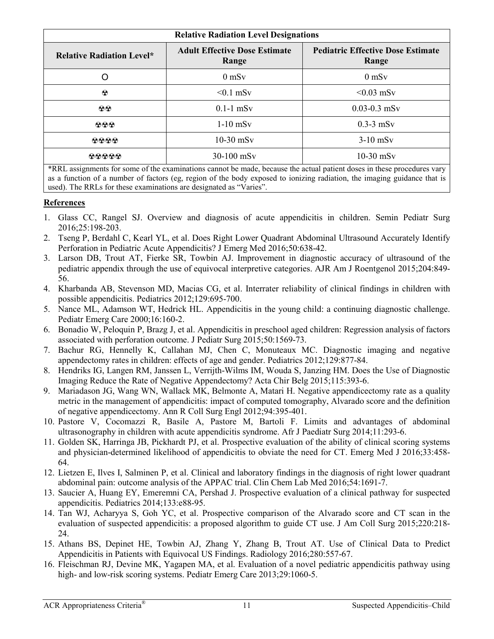| <b>Relative Radiation Level Designations</b> |                                               |                                                   |
|----------------------------------------------|-----------------------------------------------|---------------------------------------------------|
| <b>Relative Radiation Level*</b>             | <b>Adult Effective Dose Estimate</b><br>Range | <b>Pediatric Effective Dose Estimate</b><br>Range |
| O                                            | $0$ mS $v$                                    | $0$ mS $v$                                        |
| $\odot$                                      | $< 0.1$ mSv                                   | $< 0.03$ mSv                                      |
| $\odot \odot$                                | $0.1-1$ mSv                                   | $0.03 - 0.3$ mSv                                  |
| 000                                          | $1-10$ mS <sub>v</sub>                        | $0.3-3$ mSv                                       |
| 0000                                         | $10-30$ mSv                                   | $3-10$ mSv                                        |
| თიიიი                                        | 30-100 mSv                                    | $10-30$ mSv                                       |

\*RRL assignments for some of the examinations cannot be made, because the actual patient doses in these procedures vary as a function of a number of factors (eg, region of the body exposed to ionizing radiation, the imaging guidance that is used). The RRLs for these examinations are designated as "Varies".

# **References**

- <span id="page-10-0"></span>1. Glass CC, Rangel SJ. Overview and diagnosis of acute appendicitis in children. Semin Pediatr Surg 2016;25:198-203.
- <span id="page-10-1"></span>2. Tseng P, Berdahl C, Kearl YL, et al. Does Right Lower Quadrant Abdominal Ultrasound Accurately Identify Perforation in Pediatric Acute Appendicitis? J Emerg Med 2016;50:638-42.
- <span id="page-10-2"></span>3. Larson DB, Trout AT, Fierke SR, Towbin AJ. Improvement in diagnostic accuracy of ultrasound of the pediatric appendix through the use of equivocal interpretive categories. AJR Am J Roentgenol 2015;204:849- 56.
- <span id="page-10-3"></span>4. Kharbanda AB, Stevenson MD, Macias CG, et al. Interrater reliability of clinical findings in children with possible appendicitis. Pediatrics 2012;129:695-700.
- <span id="page-10-4"></span>5. Nance ML, Adamson WT, Hedrick HL. Appendicitis in the young child: a continuing diagnostic challenge. Pediatr Emerg Care 2000;16:160-2.
- <span id="page-10-5"></span>6. Bonadio W, Peloquin P, Brazg J, et al. Appendicitis in preschool aged children: Regression analysis of factors associated with perforation outcome. J Pediatr Surg 2015;50:1569-73.
- <span id="page-10-6"></span>7. Bachur RG, Hennelly K, Callahan MJ, Chen C, Monuteaux MC. Diagnostic imaging and negative appendectomy rates in children: effects of age and gender. Pediatrics 2012;129:877-84.
- 8. Hendriks IG, Langen RM, Janssen L, Verrijth-Wilms IM, Wouda S, Janzing HM. Does the Use of Diagnostic Imaging Reduce the Rate of Negative Appendectomy? Acta Chir Belg 2015;115:393-6.
- 9. Mariadason JG, Wang WN, Wallack MK, Belmonte A, Matari H. Negative appendicectomy rate as a quality metric in the management of appendicitis: impact of computed tomography, Alvarado score and the definition of negative appendicectomy. Ann R Coll Surg Engl 2012;94:395-401.
- <span id="page-10-12"></span>10. Pastore V, Cocomazzi R, Basile A, Pastore M, Bartoli F. Limits and advantages of abdominal ultrasonography in children with acute appendicitis syndrome. Afr J Paediatr Surg 2014;11:293-6.
- <span id="page-10-7"></span>11. Golden SK, Harringa JB, Pickhardt PJ, et al. Prospective evaluation of the ability of clinical scoring systems and physician-determined likelihood of appendicitis to obviate the need for CT. Emerg Med J 2016;33:458- 64.
- 12. Lietzen E, Ilves I, Salminen P, et al. Clinical and laboratory findings in the diagnosis of right lower quadrant abdominal pain: outcome analysis of the APPAC trial. Clin Chem Lab Med 2016;54:1691-7.
- <span id="page-10-8"></span>13. Saucier A, Huang EY, Emeremni CA, Pershad J. Prospective evaluation of a clinical pathway for suspected appendicitis. Pediatrics 2014;133:e88-95.
- <span id="page-10-11"></span>14. Tan WJ, Acharyya S, Goh YC, et al. Prospective comparison of the Alvarado score and CT scan in the evaluation of suspected appendicitis: a proposed algorithm to guide CT use. J Am Coll Surg 2015;220:218- 24.
- <span id="page-10-9"></span>15. Athans BS, Depinet HE, Towbin AJ, Zhang Y, Zhang B, Trout AT. Use of Clinical Data to Predict Appendicitis in Patients with Equivocal US Findings. Radiology 2016;280:557-67.
- <span id="page-10-10"></span>16. Fleischman RJ, Devine MK, Yagapen MA, et al. Evaluation of a novel pediatric appendicitis pathway using high- and low-risk scoring systems. Pediatr Emerg Care 2013;29:1060-5.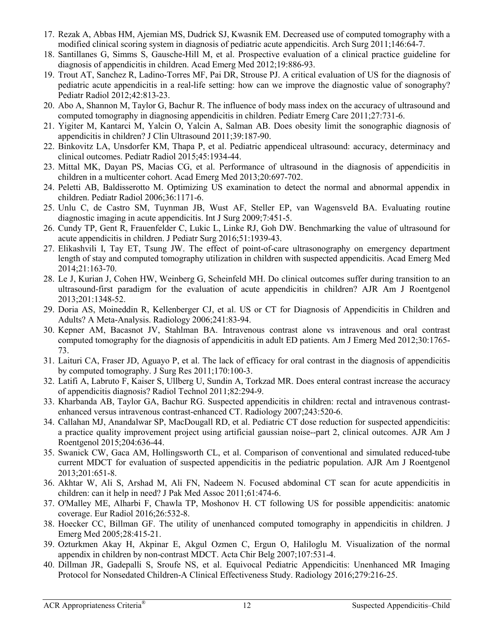- <span id="page-11-15"></span>17. Rezak A, Abbas HM, Ajemian MS, Dudrick SJ, Kwasnik EM. Decreased use of computed tomography with a modified clinical scoring system in diagnosis of pediatric acute appendicitis. Arch Surg 2011;146:64-7.
- <span id="page-11-16"></span>18. Santillanes G, Simms S, Gausche-Hill M, et al. Prospective evaluation of a clinical practice guideline for diagnosis of appendicitis in children. Acad Emerg Med 2012;19:886-93.
- <span id="page-11-0"></span>19. Trout AT, Sanchez R, Ladino-Torres MF, Pai DR, Strouse PJ. A critical evaluation of US for the diagnosis of pediatric acute appendicitis in a real-life setting: how can we improve the diagnostic value of sonography? Pediatr Radiol 2012;42:813-23.
- <span id="page-11-1"></span>20. Abo A, Shannon M, Taylor G, Bachur R. The influence of body mass index on the accuracy of ultrasound and computed tomography in diagnosing appendicitis in children. Pediatr Emerg Care 2011;27:731-6.
- <span id="page-11-2"></span>21. Yigiter M, Kantarci M, Yalcin O, Yalcin A, Salman AB. Does obesity limit the sonographic diagnosis of appendicitis in children? J Clin Ultrasound 2011;39:187-90.
- <span id="page-11-3"></span>22. Binkovitz LA, Unsdorfer KM, Thapa P, et al. Pediatric appendiceal ultrasound: accuracy, determinacy and clinical outcomes. Pediatr Radiol 2015;45:1934-44.
- 23. Mittal MK, Dayan PS, Macias CG, et al. Performance of ultrasound in the diagnosis of appendicitis in children in a multicenter cohort. Acad Emerg Med 2013;20:697-702.
- 24. Peletti AB, Baldisserotto M. Optimizing US examination to detect the normal and abnormal appendix in children. Pediatr Radiol 2006;36:1171-6.
- 25. Unlu C, de Castro SM, Tuynman JB, Wust AF, Steller EP, van Wagensveld BA. Evaluating routine diagnostic imaging in acute appendicitis. Int J Surg 2009;7:451-5.
- <span id="page-11-4"></span>26. Cundy TP, Gent R, Frauenfelder C, Lukic L, Linke RJ, Goh DW. Benchmarking the value of ultrasound for acute appendicitis in children. J Pediatr Surg 2016;51:1939-43.
- 27. Elikashvili I, Tay ET, Tsung JW. The effect of point-of-care ultrasonography on emergency department length of stay and computed tomography utilization in children with suspected appendicitis. Acad Emerg Med 2014;21:163-70.
- 28. Le J, Kurian J, Cohen HW, Weinberg G, Scheinfeld MH. Do clinical outcomes suffer during transition to an ultrasound-first paradigm for the evaluation of acute appendicitis in children? AJR Am J Roentgenol 2013;201:1348-52.
- <span id="page-11-5"></span>29. Doria AS, Moineddin R, Kellenberger CJ, et al. US or CT for Diagnosis of Appendicitis in Children and Adults? A Meta-Analysis. Radiology 2006;241:83-94.
- <span id="page-11-6"></span>30. Kepner AM, Bacasnot JV, Stahlman BA. Intravenous contrast alone vs intravenous and oral contrast computed tomography for the diagnosis of appendicitis in adult ED patients. Am J Emerg Med 2012;30:1765- 73.
- 31. Laituri CA, Fraser JD, Aguayo P, et al. The lack of efficacy for oral contrast in the diagnosis of appendicitis by computed tomography. J Surg Res 2011;170:100-3.
- 32. Latifi A, Labruto F, Kaiser S, Ullberg U, Sundin A, Torkzad MR. Does enteral contrast increase the accuracy of appendicitis diagnosis? Radiol Technol 2011;82:294-9.
- <span id="page-11-7"></span>33. Kharbanda AB, Taylor GA, Bachur RG. Suspected appendicitis in children: rectal and intravenous contrastenhanced versus intravenous contrast-enhanced CT. Radiology 2007;243:520-6.
- <span id="page-11-8"></span>34. Callahan MJ, Anandalwar SP, MacDougall RD, et al. Pediatric CT dose reduction for suspected appendicitis: a practice quality improvement project using artificial gaussian noise--part 2, clinical outcomes. AJR Am J Roentgenol 2015;204:636-44.
- <span id="page-11-9"></span>35. Swanick CW, Gaca AM, Hollingsworth CL, et al. Comparison of conventional and simulated reduced-tube current MDCT for evaluation of suspected appendicitis in the pediatric population. AJR Am J Roentgenol 2013;201:651-8.
- <span id="page-11-10"></span>36. Akhtar W, Ali S, Arshad M, Ali FN, Nadeem N. Focused abdominal CT scan for acute appendicitis in children: can it help in need? J Pak Med Assoc 2011;61:474-6.
- <span id="page-11-11"></span>37. O'Malley ME, Alharbi F, Chawla TP, Moshonov H. CT following US for possible appendicitis: anatomic coverage. Eur Radiol 2016;26:532-8.
- <span id="page-11-12"></span>38. Hoecker CC, Billman GF. The utility of unenhanced computed tomography in appendicitis in children. J Emerg Med 2005;28:415-21.
- <span id="page-11-13"></span>39. Ozturkmen Akay H, Akpinar E, Akgul Ozmen C, Ergun O, Haliloglu M. Visualization of the normal appendix in children by non-contrast MDCT. Acta Chir Belg 2007;107:531-4.
- <span id="page-11-14"></span>40. Dillman JR, Gadepalli S, Sroufe NS, et al. Equivocal Pediatric Appendicitis: Unenhanced MR Imaging Protocol for Nonsedated Children-A Clinical Effectiveness Study. Radiology 2016;279:216-25.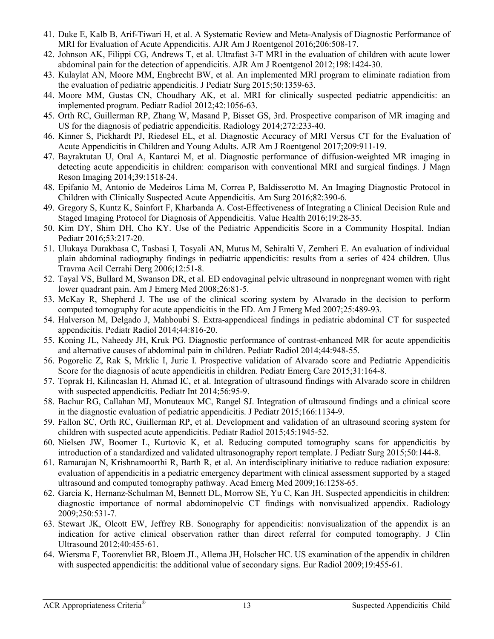- <span id="page-12-10"></span>41. Duke E, Kalb B, Arif-Tiwari H, et al. A Systematic Review and Meta-Analysis of Diagnostic Performance of MRI for Evaluation of Acute Appendicitis. AJR Am J Roentgenol 2016;206:508-17.
- 42. Johnson AK, Filippi CG, Andrews T, et al. Ultrafast 3-T MRI in the evaluation of children with acute lower abdominal pain for the detection of appendicitis. AJR Am J Roentgenol 2012;198:1424-30.
- <span id="page-12-11"></span>43. Kulaylat AN, Moore MM, Engbrecht BW, et al. An implemented MRI program to eliminate radiation from the evaluation of pediatric appendicitis. J Pediatr Surg 2015;50:1359-63.
- 44. Moore MM, Gustas CN, Choudhary AK, et al. MRI for clinically suspected pediatric appendicitis: an implemented program. Pediatr Radiol 2012;42:1056-63.
- 45. Orth RC, Guillerman RP, Zhang W, Masand P, Bisset GS, 3rd. Prospective comparison of MR imaging and US for the diagnosis of pediatric appendicitis. Radiology 2014;272:233-40.
- <span id="page-12-0"></span>46. Kinner S, Pickhardt PJ, Riedesel EL, et al. Diagnostic Accuracy of MRI Versus CT for the Evaluation of Acute Appendicitis in Children and Young Adults. AJR Am J Roentgenol 2017;209:911-19.
- <span id="page-12-1"></span>47. Bayraktutan U, Oral A, Kantarci M, et al. Diagnostic performance of diffusion-weighted MR imaging in detecting acute appendicitis in children: comparison with conventional MRI and surgical findings. J Magn Reson Imaging 2014;39:1518-24.
- <span id="page-12-2"></span>48. Epifanio M, Antonio de Medeiros Lima M, Correa P, Baldisserotto M. An Imaging Diagnostic Protocol in Children with Clinically Suspected Acute Appendicitis. Am Surg 2016;82:390-6.
- <span id="page-12-9"></span>49. Gregory S, Kuntz K, Sainfort F, Kharbanda A. Cost-Effectiveness of Integrating a Clinical Decision Rule and Staged Imaging Protocol for Diagnosis of Appendicitis. Value Health 2016;19:28-35.
- <span id="page-12-5"></span>50. Kim DY, Shim DH, Cho KY. Use of the Pediatric Appendicitis Score in a Community Hospital. Indian Pediatr 2016;53:217-20.
- <span id="page-12-3"></span>51. Ulukaya Durakbasa C, Tasbasi I, Tosyali AN, Mutus M, Sehiralti V, Zemheri E. An evaluation of individual plain abdominal radiography findings in pediatric appendicitis: results from a series of 424 children. Ulus Travma Acil Cerrahi Derg 2006;12:51-8.
- <span id="page-12-4"></span>52. Tayal VS, Bullard M, Swanson DR, et al. ED endovaginal pelvic ultrasound in nonpregnant women with right lower quadrant pain. Am J Emerg Med 2008;26:81-5.
- <span id="page-12-6"></span>53. McKay R, Shepherd J. The use of the clinical scoring system by Alvarado in the decision to perform computed tomography for acute appendicitis in the ED. Am J Emerg Med 2007;25:489-93.
- <span id="page-12-7"></span>54. Halverson M, Delgado J, Mahboubi S. Extra-appendiceal findings in pediatric abdominal CT for suspected appendicitis. Pediatr Radiol 2014;44:816-20.
- <span id="page-12-8"></span>55. Koning JL, Naheedy JH, Kruk PG. Diagnostic performance of contrast-enhanced MR for acute appendicitis and alternative causes of abdominal pain in children. Pediatr Radiol 2014;44:948-55.
- <span id="page-12-12"></span>56. Pogorelic Z, Rak S, Mrklic I, Juric I. Prospective validation of Alvarado score and Pediatric Appendicitis Score for the diagnosis of acute appendicitis in children. Pediatr Emerg Care 2015;31:164-8.
- <span id="page-12-13"></span>57. Toprak H, Kilincaslan H, Ahmad IC, et al. Integration of ultrasound findings with Alvarado score in children with suspected appendicitis. Pediatr Int 2014;56:95-9.
- <span id="page-12-14"></span>58. Bachur RG, Callahan MJ, Monuteaux MC, Rangel SJ. Integration of ultrasound findings and a clinical score in the diagnostic evaluation of pediatric appendicitis. J Pediatr 2015;166:1134-9.
- <span id="page-12-15"></span>59. Fallon SC, Orth RC, Guillerman RP, et al. Development and validation of an ultrasound scoring system for children with suspected acute appendicitis. Pediatr Radiol 2015;45:1945-52.
- <span id="page-12-16"></span>60. Nielsen JW, Boomer L, Kurtovic K, et al. Reducing computed tomography scans for appendicitis by introduction of a standardized and validated ultrasonography report template. J Pediatr Surg 2015;50:144-8.
- <span id="page-12-17"></span>61. Ramarajan N, Krishnamoorthi R, Barth R, et al. An interdisciplinary initiative to reduce radiation exposure: evaluation of appendicitis in a pediatric emergency department with clinical assessment supported by a staged ultrasound and computed tomography pathway. Acad Emerg Med 2009;16:1258-65.
- <span id="page-12-18"></span>62. Garcia K, Hernanz-Schulman M, Bennett DL, Morrow SE, Yu C, Kan JH. Suspected appendicitis in children: diagnostic importance of normal abdominopelvic CT findings with nonvisualized appendix. Radiology 2009;250:531-7.
- 63. Stewart JK, Olcott EW, Jeffrey RB. Sonography for appendicitis: nonvisualization of the appendix is an indication for active clinical observation rather than direct referral for computed tomography. J Clin Ultrasound 2012;40:455-61.
- 64. Wiersma F, Toorenvliet BR, Bloem JL, Allema JH, Holscher HC. US examination of the appendix in children with suspected appendicitis: the additional value of secondary signs. Eur Radiol 2009;19:455-61.